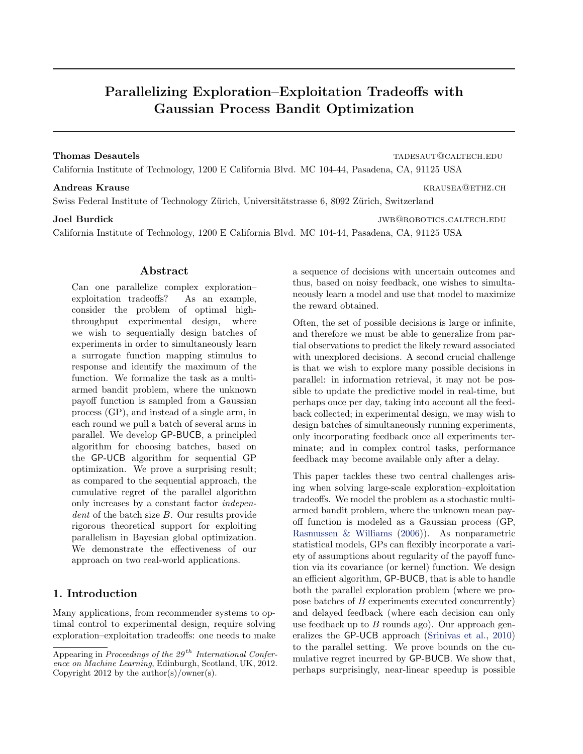# Parallelizing Exploration–Exploitation Tradeoffs with Gaussian Process Bandit Optimization

#### Thomas Desautels tades that the control of the control of the control of the control of the control of the control of the control of the control of the control of the control of the control of the control of the control of

California Institute of Technology, 1200 E California Blvd. MC 104-44, Pasadena, CA, 91125 USA

Swiss Federal Institute of Technology Zürich, Universitätstrasse 6, 8092 Zürich, Switzerland

#### Joel Burdick **in the set of the set of the set of the set of the set of the set of the set of the set of the set of the set of the set of the set of the set of the set of the set of the set of the set of the set of the set**

California Institute of Technology, 1200 E California Blvd. MC 104-44, Pasadena, CA, 91125 USA

#### Abstract

Can one parallelize complex exploration– exploitation tradeoffs? As an example, consider the problem of optimal highthroughput experimental design, where we wish to sequentially design batches of experiments in order to simultaneously learn a surrogate function mapping stimulus to response and identify the maximum of the function. We formalize the task as a multiarmed bandit problem, where the unknown payoff function is sampled from a Gaussian process (GP), and instead of a single arm, in each round we pull a batch of several arms in parallel. We develop GP-BUCB, a principled algorithm for choosing batches, based on the GP-UCB algorithm for sequential GP optimization. We prove a surprising result; as compared to the sequential approach, the cumulative regret of the parallel algorithm only increases by a constant factor independent of the batch size B. Our results provide rigorous theoretical support for exploiting parallelism in Bayesian global optimization. We demonstrate the effectiveness of our approach on two real-world applications.

### 1. Introduction

Many applications, from recommender systems to optimal control to experimental design, require solving exploration–exploitation tradeoffs: one needs to make a sequence of decisions with uncertain outcomes and thus, based on noisy feedback, one wishes to simultaneously learn a model and use that model to maximize the reward obtained.

Often, the set of possible decisions is large or infinite, and therefore we must be able to generalize from partial observations to predict the likely reward associated with unexplored decisions. A second crucial challenge is that we wish to explore many possible decisions in parallel: in information retrieval, it may not be possible to update the predictive model in real-time, but perhaps once per day, taking into account all the feedback collected; in experimental design, we may wish to design batches of simultaneously running experiments, only incorporating feedback once all experiments terminate; and in complex control tasks, performance feedback may become available only after a delay.

This paper tackles these two central challenges arising when solving large-scale exploration–exploitation tradeoffs. We model the problem as a stochastic multiarmed bandit problem, where the unknown mean payoff function is modeled as a Gaussian process (GP, [Rasmussen & Williams](#page-7-0) [\(2006\)](#page-7-0)). As nonparametric statistical models, GPs can flexibly incorporate a variety of assumptions about regularity of the payoff function via its covariance (or kernel) function. We design an efficient algorithm, GP-BUCB, that is able to handle both the parallel exploration problem (where we propose batches of B experiments executed concurrently) and delayed feedback (where each decision can only use feedback up to  $B$  rounds ago). Our approach generalizes the GP-UCB approach [\(Srinivas et al.,](#page-7-0) [2010\)](#page-7-0) to the parallel setting. We prove bounds on the cumulative regret incurred by GP-BUCB. We show that, perhaps surprisingly, near-linear speedup is possible

Andreas Krause **Krause** Krausea **Krausea** Krausea Krausea Krausea Krausea Krausea Krausea Krausea Krausea Krausea Krausea Krausea Krausea Krausea Krausea Krausea Krausea Krausea Krausea Krausea Krausea Krausea Krausea Krau

Appearing in Proceedings of the  $29<sup>th</sup> International Confer$ ence on Machine Learning, Edinburgh, Scotland, UK, 2012. Copyright 2012 by the author(s)/owner(s).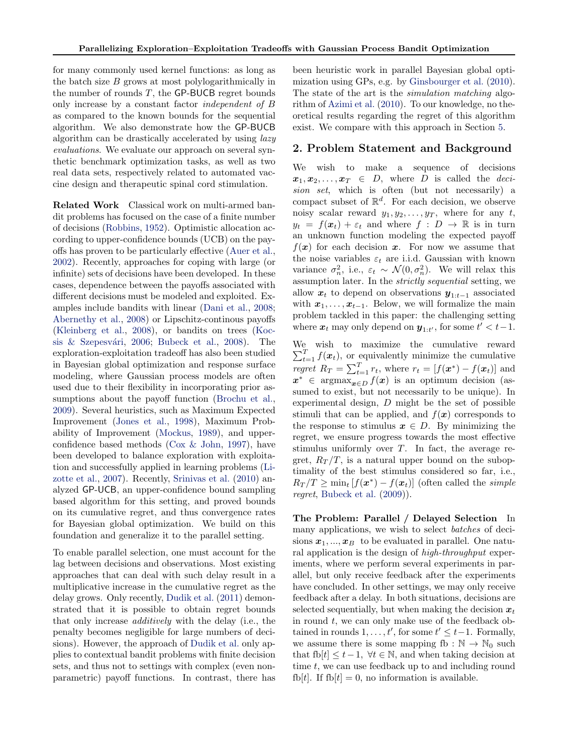for many commonly used kernel functions: as long as the batch size  $B$  grows at most polylogarithmically in the number of rounds  $T$ , the GP-BUCB regret bounds only increase by a constant factor independent of B as compared to the known bounds for the sequential algorithm. We also demonstrate how the GP-BUCB algorithm can be drastically accelerated by using lazy evaluations. We evaluate our approach on several synthetic benchmark optimization tasks, as well as two real data sets, respectively related to automated vaccine design and therapeutic spinal cord stimulation.

Related Work Classical work on multi-armed bandit problems has focused on the case of a finite number of decisions [\(Robbins,](#page-7-0) [1952\)](#page-7-0). Optimistic allocation according to upper-confidence bounds (UCB) on the payoffs has proven to be particularly effective [\(Auer et al.,](#page-7-0) [2002\)](#page-7-0). Recently, approaches for coping with large (or infinite) sets of decisions have been developed. In these cases, dependence between the payoffs associated with different decisions must be modeled and exploited. Examples include bandits with linear [\(Dani et al.,](#page-7-0) [2008;](#page-7-0) [Abernethy et al.,](#page-7-0) [2008\)](#page-7-0) or Lipschitz-continous payoffs [\(Kleinberg et al.,](#page-7-0) [2008\)](#page-7-0), or bandits on trees [\(Koc-](#page-7-0)sis & Szepesvári, [2006;](#page-7-0) [Bubeck et al.,](#page-7-0) [2008\)](#page-7-0). The exploration-exploitation tradeoff has also been studied in Bayesian global optimization and response surface modeling, where Gaussian process models are often used due to their flexibility in incorporating prior assumptions about the payoff function [\(Brochu et al.,](#page-7-0) [2009\)](#page-7-0). Several heuristics, such as Maximum Expected Improvement [\(Jones et al.,](#page-7-0) [1998\)](#page-7-0), Maximum Probability of Improvement [\(Mockus,](#page-7-0) [1989\)](#page-7-0), and upperconfidence based methods [\(Cox & John,](#page-7-0) [1997\)](#page-7-0), have been developed to balance exploration with exploitation and successfully applied in learning problems [\(Li](#page-7-0)[zotte et al.,](#page-7-0) [2007\)](#page-7-0). Recently, [Srinivas et al.](#page-7-0) [\(2010\)](#page-7-0) analyzed GP-UCB, an upper-confidence bound sampling based algorithm for this setting, and proved bounds on its cumulative regret, and thus convergence rates for Bayesian global optimization. We build on this foundation and generalize it to the parallel setting.

To enable parallel selection, one must account for the lag between decisions and observations. Most existing approaches that can deal with such delay result in a multiplicative increase in the cumulative regret as the delay grows. Only recently, [Dudik et al.](#page-7-0) [\(2011\)](#page-7-0) demonstrated that it is possible to obtain regret bounds that only increase additively with the delay (i.e., the penalty becomes negligible for large numbers of decisions). However, the approach of [Dudik et al.](#page-7-0) only applies to contextual bandit problems with finite decision sets, and thus not to settings with complex (even nonparametric) payoff functions. In contrast, there has

been heuristic work in parallel Bayesian global optimization using GPs, e.g. by [Ginsbourger et al.](#page-7-0) [\(2010\)](#page-7-0). The state of the art is the simulation matching algorithm of [Azimi et al.](#page-7-0) [\(2010\)](#page-7-0). To our knowledge, no theoretical results regarding the regret of this algorithm exist. We compare with this approach in Section [5.](#page-5-0)

#### 2. Problem Statement and Background

We wish to make a sequence of decisions  $x_1, x_2, \ldots, x_T \in D$ , where D is called the *deci*sion set, which is often (but not necessarily) a compact subset of  $\mathbb{R}^d$ . For each decision, we observe noisy scalar reward  $y_1, y_2, \ldots, y_T$ , where for any t,  $y_t = f(x_t) + \varepsilon_t$  and where  $f : D \to \mathbb{R}$  is in turn an unknown function modeling the expected payoff  $f(x)$  for each decision x. For now we assume that the noise variables  $\varepsilon_t$  are i.i.d. Gaussian with known variance  $\sigma_n^2$ , i.e.,  $\varepsilon_t \sim \mathcal{N}(0, \sigma_n^2)$ . We will relax this assumption later. In the strictly sequential setting, we allow  $x_t$  to depend on observations  $y_{1:t-1}$  associated with  $x_1, \ldots, x_{t-1}$ . Below, we will formalize the main problem tackled in this paper: the challenging setting where  $x_t$  may only depend on  $y_{1:t'}$ , for some  $t' < t-1$ .

We wish to maximize the cumulative reward  $\sum_{t=1}^{T} f(x_t)$ , or equivalently minimize the cumulative regret  $R_T = \sum_{t=1}^T r_t$ , where  $r_t = [f(\boldsymbol{x}^*) - f(\boldsymbol{x}_t)]$  and  $x^* \in \text{argmax}_{x \in D} f(x)$  is an optimum decision (assumed to exist, but not necessarily to be unique). In experimental design,  $D$  might be the set of possible stimuli that can be applied, and  $f(x)$  corresponds to the response to stimulus  $x \in D$ . By minimizing the regret, we ensure progress towards the most effective stimulus uniformly over  $T$ . In fact, the average regret,  $R_T/T$ , is a natural upper bound on the suboptimality of the best stimulus considered so far, i.e.,  $R_T/T \geq \min_t [f(\boldsymbol{x}^*) - f(\boldsymbol{x}_t)]$  (often called the *simple regret*, [Bubeck et al.](#page-7-0)  $(2009)$ .

The Problem: Parallel / Delayed Selection In many applications, we wish to select *batches* of decisions  $x_1, ..., x_B$  to be evaluated in parallel. One natural application is the design of high-throughput experiments, where we perform several experiments in parallel, but only receive feedback after the experiments have concluded. In other settings, we may only receive feedback after a delay. In both situations, decisions are selected sequentially, but when making the decision  $x_t$ in round  $t$ , we can only make use of the feedback obtained in rounds  $1, \ldots, t'$ , for some  $t' \leq t-1$ . Formally, we assume there is some mapping fb :  $\mathbb{N} \to \mathbb{N}_0$  such that fb[ $t$ ]  $\leq t-1$ ,  $\forall t \in \mathbb{N}$ , and when taking decision at time t, we can use feedback up to and including round fb[t]. If fb[t] = 0, no information is available.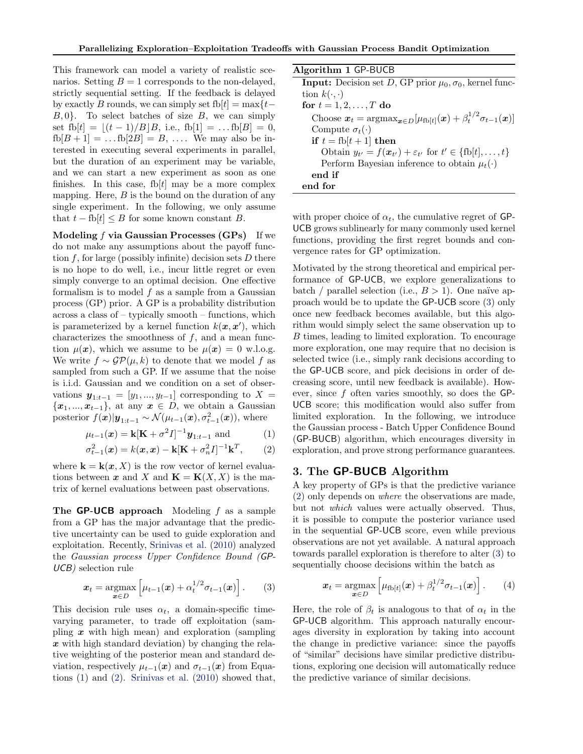This framework can model a variety of realistic scenarios. Setting  $B = 1$  corresponds to the non-delayed, strictly sequential setting. If the feedback is delayed by exactly B rounds, we can simply set fb[t] = max{t- $B, 0$ . To select batches of size B, we can simply set fb[t] =  $|(t - 1)/B|B$ , i.e., fb[1] = ... fb[B] = 0,  $fb[B+1] = ... fb[2B] = B, ...$  We may also be interested in executing several experiments in parallel, but the duration of an experiment may be variable, and we can start a new experiment as soon as one finishes. In this case, fb[ $t$ ] may be a more complex mapping. Here,  $B$  is the bound on the duration of any single experiment. In the following, we only assume that  $t - f b[t] \leq B$  for some known constant B.

Modeling  $f$  via Gaussian Processes (GPs) If we do not make any assumptions about the payoff function f, for large (possibly infinite) decision sets  $D$  there is no hope to do well, i.e., incur little regret or even simply converge to an optimal decision. One effective formalism is to model  $f$  as a sample from a Gaussian process (GP) prior. A GP is a probability distribution across a class of – typically smooth – functions, which is parameterized by a kernel function  $k(\mathbf{x}, \mathbf{x}')$ , which characterizes the smoothness of  $f$ , and a mean function  $\mu(\mathbf{x})$ , which we assume to be  $\mu(\mathbf{x}) = 0$  w.l.o.g. We write  $f \sim \mathcal{GP}(\mu, k)$  to denote that we model f as sampled from such a GP. If we assume that the noise is i.i.d. Gaussian and we condition on a set of observations  $y_{1:t-1} = [y_1, ..., y_{t-1}]$  corresponding to X =  ${x_1, ..., x_{t-1}}$ , at any  $x \in D$ , we obtain a Gaussian posterior  $f(\boldsymbol{x})|\boldsymbol{y}_{1:t-1} \sim \mathcal{N}(\mu_{t-1}(\boldsymbol{x}), \sigma_{t-1}^2(\boldsymbol{x}))$ , where

$$
\mu_{t-1}(\boldsymbol{x}) = \mathbf{k} [\mathbf{K} + \sigma^2 I]^{-1} \mathbf{y}_{1:t-1} \text{ and } (1)
$$

$$
\sigma_{t-1}^2(\mathbf{x}) = k(\mathbf{x}, \mathbf{x}) - \mathbf{k}[\mathbf{K} + \sigma_n^2 I]^{-1} \mathbf{k}^T, \qquad (2)
$$

where  $\mathbf{k} = \mathbf{k}(\boldsymbol{x}, X)$  is the row vector of kernel evaluations between x and X and  $\mathbf{K} = \mathbf{K}(X, X)$  is the matrix of kernel evaluations between past observations.

The **GP-UCB** approach Modeling  $f$  as a sample from a GP has the major advantage that the predictive uncertainty can be used to guide exploration and exploitation. Recently, [Srinivas et al.](#page-7-0) [\(2010\)](#page-7-0) analyzed the Gaussian process Upper Confidence Bound (GP-UCB) selection rule

$$
\boldsymbol{x}_t = \underset{\boldsymbol{x} \in D}{\operatorname{argmax}} \left[ \mu_{t-1}(\boldsymbol{x}) + \alpha_t^{1/2} \sigma_{t-1}(\boldsymbol{x}) \right]. \qquad (3)
$$

This decision rule uses  $\alpha_t$ , a domain-specific timevarying parameter, to trade off exploitation (sampling  $x$  with high mean) and exploration (sampling  $x$  with high standard deviation) by changing the relative weighting of the posterior mean and standard deviation, respectively  $\mu_{t-1}(x)$  and  $\sigma_{t-1}(x)$  from Equations (1) and (2). [Srinivas et al.](#page-7-0) [\(2010\)](#page-7-0) showed that,

| Algorithm 1 GP-BUCB                                                                                                            |
|--------------------------------------------------------------------------------------------------------------------------------|
| <b>Input:</b> Decision set D, GP prior $\mu_0$ , $\sigma_0$ , kernel func-                                                     |
| tion $k(\cdot, \cdot)$                                                                                                         |
| for $t = 1, 2, \ldots, T$ do                                                                                                   |
| Choose $\mathbf{x}_t = \arg \max_{\mathbf{x} \in D} [\mu_{\text{fb}[t]}(\mathbf{x}) + \beta_t^{1/2} \sigma_{t-1}(\mathbf{x})]$ |
| Compute $\sigma_t(\cdot)$                                                                                                      |
| if $t =$ fb $[t+1]$ then                                                                                                       |
| Obtain $y_{t'} = f(\boldsymbol{x}_{t'}) + \varepsilon_{t'}$ for $t' \in \{\text{fb}[t], \ldots, t\}$                           |
| Perform Bayesian inference to obtain $\mu_t(\cdot)$                                                                            |
| end if                                                                                                                         |
| end for                                                                                                                        |

with proper choice of  $\alpha_t$ , the cumulative regret of GP-UCB grows sublinearly for many commonly used kernel functions, providing the first regret bounds and convergence rates for GP optimization.

Motivated by the strong theoretical and empirical performance of GP-UCB, we explore generalizations to batch / parallel selection (i.e.,  $B > 1$ ). One naïve approach would be to update the GP-UCB score (3) only once new feedback becomes available, but this algorithm would simply select the same observation up to B times, leading to limited exploration. To encourage more exploration, one may require that no decision is selected twice (i.e., simply rank decisions according to the GP-UCB score, and pick decisions in order of decreasing score, until new feedback is available). However, since  $f$  often varies smoothly, so does the GP-UCB score; this modification would also suffer from limited exploration. In the following, we introduce the Gaussian process - Batch Upper Confidence Bound (GP-BUCB) algorithm, which encourages diversity in exploration, and prove strong performance guarantees.

# 3. The GP-BUCB Algorithm

A key property of GPs is that the predictive variance (2) only depends on where the observations are made, but not which values were actually observed. Thus, it is possible to compute the posterior variance used in the sequential GP-UCB score, even while previous observations are not yet available. A natural approach towards parallel exploration is therefore to alter (3) to sequentially choose decisions within the batch as

$$
\boldsymbol{x}_t = \operatorname*{argmax}_{\boldsymbol{x} \in D} \left[ \mu_{\text{fb}[t]}(\boldsymbol{x}) + \beta_t^{1/2} \sigma_{t-1}(\boldsymbol{x}) \right]. \qquad (4)
$$

Here, the role of  $\beta_t$  is analogous to that of  $\alpha_t$  in the GP-UCB algorithm. This approach naturally encourages diversity in exploration by taking into account the change in predictive variance: since the payoffs of "similar" decisions have similar predictive distributions, exploring one decision will automatically reduce the predictive variance of similar decisions.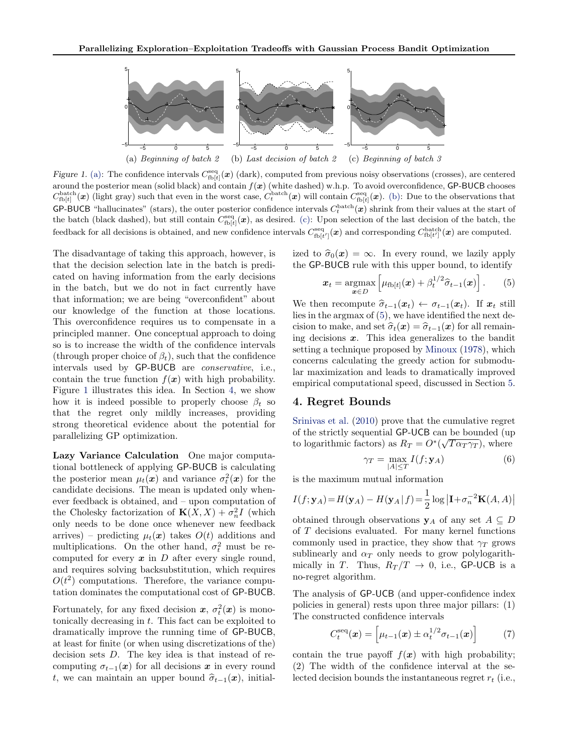

Figure 1. (a): The confidence intervals  $C_{\text{fb}[t]}^{\text{seq}}(\boldsymbol{x})$  (dark), computed from previous noisy observations (crosses), are centered around the posterior mean (solid black) and contain  $f(x)$  (white dashed) w.h.p. To avoid overconfidence, GP-BUCB chooses  $C_{\text{fb}[t]}^{\text{batch}}(\boldsymbol{x})$  (light gray) such that even in the worst case,  $C_t^{\text{batch}}(\boldsymbol{x})$  will contain  $C_{\text{fb}[t]}^{\text{seq}}(\boldsymbol{x})$ . (b): Due to the observations that **GP-BUCB** "hallucinates" (stars), the outer posterior confidence intervals  $C_t^{\text{batch}}(x)$  shrink from their values at the start of the batch (black dashed), but still contain  $C_{\text{fb}[t]}^{\text{seq}}(\bm{x})$ , as desired. (c): Upon selection of the last decision of the batch, the feedback for all decisions is obtained, and new confidence intervals  $C_{\text{fb}[t']}^{\text{seq}}(\bm{x})$  and corresponding  $C_{\text{fb}[t']}^{\text{batch}}(\bm{x})$  are computed.

The disadvantage of taking this approach, however, is that the decision selection late in the batch is predicated on having information from the early decisions in the batch, but we do not in fact currently have that information; we are being "overconfident" about our knowledge of the function at those locations. This overconfidence requires us to compensate in a principled manner. One conceptual approach to doing so is to increase the width of the confidence intervals (through proper choice of  $\beta_t$ ), such that the confidence intervals used by GP-BUCB are conservative, i.e., contain the true function  $f(x)$  with high probability. Figure 1 illustrates this idea. In Section 4, we show how it is indeed possible to properly choose  $\beta_t$  so that the regret only mildly increases, providing strong theoretical evidence about the potential for parallelizing GP optimization.

Lazy Variance Calculation One major computational bottleneck of applying GP-BUCB is calculating the posterior mean  $\mu_t(\boldsymbol{x})$  and variance  $\sigma_t^2(\boldsymbol{x})$  for the candidate decisions. The mean is updated only whenever feedback is obtained, and – upon computation of the Cholesky factorization of  $\mathbf{K}(X,X) + \sigma_n^2 I$  (which only needs to be done once whenever new feedback arrives) – predicting  $\mu_t(x)$  takes  $O(t)$  additions and multiplications. On the other hand,  $\sigma_t^2$  must be recomputed for every  $x$  in  $D$  after every single round, and requires solving backsubstitution, which requires  $O(t^2)$  computations. Therefore, the variance computation dominates the computational cost of GP-BUCB.

Fortunately, for any fixed decision  $x, \sigma_t^2(x)$  is monotonically decreasing in  $t$ . This fact can be exploited to dramatically improve the running time of GP-BUCB, at least for finite (or when using discretizations of the) decision sets D. The key idea is that instead of recomputing  $\sigma_{t-1}(x)$  for all decisions x in every round t, we can maintain an upper bound  $\hat{\sigma}_{t-1}(x)$ , initialized to  $\hat{\sigma}_0(x) = \infty$ . In every round, we lazily apply the GP-BUCB rule with this upper bound, to identify

$$
\boldsymbol{x}_t = \underset{\boldsymbol{x} \in D}{\operatorname{argmax}} \left[ \mu_{\text{fb}[t]}(\boldsymbol{x}) + \beta_t^{1/2} \widehat{\sigma}_{t-1}(\boldsymbol{x}) \right]. \qquad (5)
$$

We then recompute  $\hat{\sigma}_{t-1}(x_t) \leftarrow \sigma_{t-1}(x_t)$ . If  $x_t$  still lies in the argmax of (5), we have identified the next decision to make, and set  $\hat{\sigma}_t(x) = \hat{\sigma}_{t-1}(x)$  for all remaining decisions  $x$ . This idea generalizes to the bandit setting a technique proposed by [Minoux](#page-7-0) [\(1978\)](#page-7-0), which concerns calculating the greedy action for submodular maximization and leads to dramatically improved empirical computational speed, discussed in Section [5.](#page-5-0)

#### 4. Regret Bounds

[Srinivas et al.](#page-7-0) [\(2010\)](#page-7-0) prove that the cumulative regret of the strictly sequential  $\mathsf{GP-UCB}$  can be bounded (up to logarithmic factors) as  $R_T = O^*(\sqrt{T\alpha_T\gamma_T})$ , where

$$
\gamma_T = \max_{|A| \le T} I(f; \mathbf{y}_A) \tag{6}
$$

is the maximum mutual information

$$
I(f; \mathbf{y}_A) = H(\mathbf{y}_A) - H(\mathbf{y}_A | f) = \frac{1}{2} \log |\mathbf{I} + \sigma_n^{-2} \mathbf{K}(A, A)|
$$

obtained through observations  $y_A$  of any set  $A \subseteq D$ of T decisions evaluated. For many kernel functions commonly used in practice, they show that  $\gamma_T$  grows sublinearly and  $\alpha_T$  only needs to grow polylogarithmically in T. Thus,  $R_T/T \rightarrow 0$ , i.e., GP-UCB is a no-regret algorithm.

The analysis of GP-UCB (and upper-confidence index policies in general) rests upon three major pillars: (1) The constructed confidence intervals

$$
C_t^{\text{seq}}(\boldsymbol{x}) = \left[ \mu_{t-1}(\boldsymbol{x}) \pm \alpha_t^{1/2} \sigma_{t-1}(\boldsymbol{x}) \right] \tag{7}
$$

contain the true payoff  $f(x)$  with high probability; (2) The width of the confidence interval at the selected decision bounds the instantaneous regret  $r_t$  (i.e.,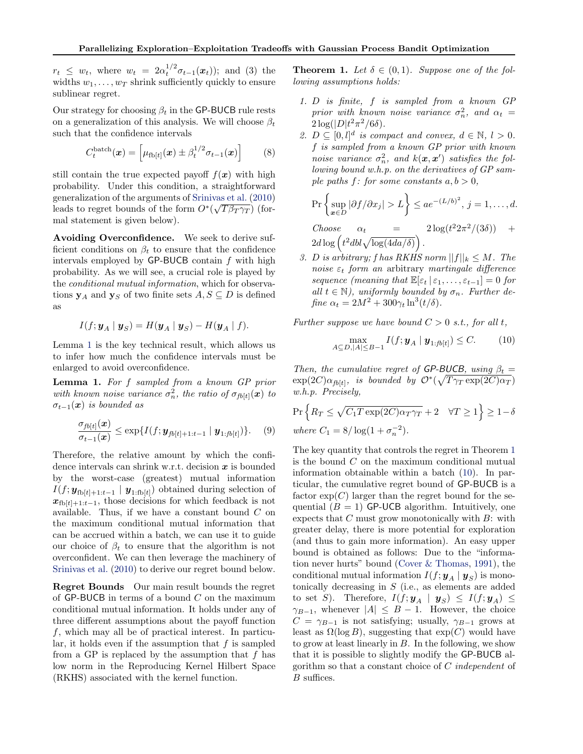<span id="page-4-0"></span> $r_t \leq w_t$ , where  $w_t = 2\alpha_t^{1/2} \sigma_{t-1}(\boldsymbol{x}_t)$ ; and (3) the widths  $w_1, \ldots, w_T$  shrink sufficiently quickly to ensure sublinear regret.

Our strategy for choosing  $\beta_t$  in the GP-BUCB rule rests on a generalization of this analysis. We will choose  $\beta_t$ such that the confidence intervals

$$
C_t^{\text{batch}}(\boldsymbol{x}) = \left[\mu_{\text{fb}[t]}(\boldsymbol{x}) \pm \beta_t^{1/2} \sigma_{t-1}(\boldsymbol{x})\right]
$$
 (8)

still contain the true expected payoff  $f(x)$  with high probability. Under this condition, a straightforward generalization of the arguments of [Srinivas et al.](#page-7-0)  $(2010)$ leads to regret bounds of the form  $O^*(\sqrt{T\beta_T\gamma_T})$  (formal statement is given below).

Avoiding Overconfidence. We seek to derive sufficient conditions on  $\beta_t$  to ensure that the confidence intervals employed by  $GP-BUCB$  contain  $f$  with high probability. As we will see, a crucial role is played by the conditional mutual information, which for observations  $y_A$  and  $y_S$  of two finite sets  $A, S \subseteq D$  is defined as

$$
I(f; \mathbf{y}_A \mid \mathbf{y}_S) = H(\mathbf{y}_A \mid \mathbf{y}_S) - H(\mathbf{y}_A \mid f).
$$

Lemma 1 is the key technical result, which allows us to infer how much the confidence intervals must be enlarged to avoid overconfidence.

Lemma 1. For f sampled from a known GP prior with known noise variance  $\sigma_n^2$ , the ratio of  $\sigma_{fb[t]}(x)$  to  $\sigma_{t-1}(x)$  is bounded as

$$
\frac{\sigma_{fb[t]}(x)}{\sigma_{t-1}(x)} \le \exp\{I(f; \mathbf{y}_{fb[t]+1:t-1} | \mathbf{y}_{1:fb[t]})\}.
$$
 (9)

Therefore, the relative amount by which the confidence intervals can shrink w.r.t. decision  $x$  is bounded by the worst-case (greatest) mutual information  $I(f; \boldsymbol{y}_{\text{fb}[t]+1:t-1} | \boldsymbol{y}_{1:\text{fb}[t]})$  obtained during selection of  $x_{\text{fb}[t]+1:t-1}$ , those decisions for which feedback is not available. Thus, if we have a constant bound  $C$  on the maximum conditional mutual information that can be accrued within a batch, we can use it to guide our choice of  $\beta_t$  to ensure that the algorithm is not overconfident. We can then leverage the machinery of [Srinivas et al.](#page-7-0) [\(2010\)](#page-7-0) to derive our regret bound below.

Regret Bounds Our main result bounds the regret of GP-BUCB in terms of a bound  $C$  on the maximum conditional mutual information. It holds under any of three different assumptions about the payoff function  $f$ , which may all be of practical interest. In particular, it holds even if the assumption that  $f$  is sampled from a GP is replaced by the assumption that  $f$  has low norm in the Reproducing Kernel Hilbert Space (RKHS) associated with the kernel function.

**Theorem 1.** Let  $\delta \in (0,1)$ . Suppose one of the following assumptions holds:

- 1. D is finite, f is sampled from a known GP prior with known noise variance  $\sigma_n^2$ , and  $\alpha_t =$  $2\log(|D|t^2\pi^2/6\delta).$
- 2.  $D \subseteq [0, l]^d$  is compact and convex,  $d \in \mathbb{N}, l > 0$ . f is sampled from a known GP prior with known noise variance  $\sigma_n^2$ , and  $k(\mathbf{x}, \mathbf{x}')$  satisfies the following bound w.h.p. on the derivatives of GP sample paths f: for some constants  $a, b > 0$ ,

$$
\Pr\left\{\sup_{\boldsymbol{x}\in D}|\partial f/\partial x_j| > L\right\} \leq ae^{-(L/b)^2}, \, j=1,\ldots,d.
$$

Choose  $\alpha_t = 2 \log(t)$  $^{2}2\pi^{2}/(3\delta))$  +  $2d\log\left(t^2dbl\sqrt{\log(4da/\delta)}\right)$ .

3. D is arbitrary; f has RKHS norm  $||f||_k \leq M$ . The noise  $\varepsilon_t$  form an arbitrary martingale difference sequence (meaning that  $\mathbb{E}[\varepsilon_t | \varepsilon_1, \ldots, \varepsilon_{t-1}] = 0$  for all  $t \in \mathbb{N}$ , uniformly bounded by  $\sigma_n$ . Further define  $\alpha_t = 2M^2 + 300\gamma_t \ln^3(t/\delta)$ .

Further suppose we have bound  $C > 0$  s.t., for all t,

$$
\max_{A \subseteq D, |A| \leq B-1} I(f; \mathbf{y}_A \mid \mathbf{y}_{1:fb[t]}) \leq C. \tag{10}
$$

Then, the cumulative regret of GP-BUCB, using  $\beta_t =$  $\exp(2C)\alpha_{fb[t]},$  is bounded by  $\mathcal{O}^*(\sqrt{T\gamma_T \exp(2C)\alpha_T})$ w.h.p. Precisely,

$$
\Pr\left\{R_T \le \sqrt{C_1 T \exp(2C)\alpha_T \gamma_T} + 2 \quad \forall T \ge 1\right\} \ge 1 - \delta
$$
  
where  $C_1 = 8/\log(1 + \sigma_n^{-2})$ .

The key quantity that controls the regret in Theorem 1 is the bound  $C$  on the maximum conditional mutual information obtainable within a batch (10). In particular, the cumulative regret bound of GP-BUCB is a factor  $\exp(C)$  larger than the regret bound for the sequential  $(B = 1)$  GP-UCB algorithm. Intuitively, one expects that  $C$  must grow monotonically with  $B$ : with greater delay, there is more potential for exploration (and thus to gain more information). An easy upper bound is obtained as follows: Due to the "information never hurts" bound [\(Cover & Thomas,](#page-7-0) [1991\)](#page-7-0), the conditional mutual information  $I(f; y_A | y_S)$  is monotonically decreasing in  $S$  (i.e., as elements are added to set S). Therefore,  $I(f; y_A | y_S) \leq I(f; y_A) \leq$  $\gamma_{B-1}$ , whenever  $|A| \leq B - 1$ . However, the choice  $C = \gamma_{B-1}$  is not satisfying; usually,  $\gamma_{B-1}$  grows at least as  $\Omega(\log B)$ , suggesting that  $\exp(C)$  would have to grow at least linearly in  $B$ . In the following, we show that it is possible to slightly modify the GP-BUCB algorithm so that a constant choice of C independent of B suffices.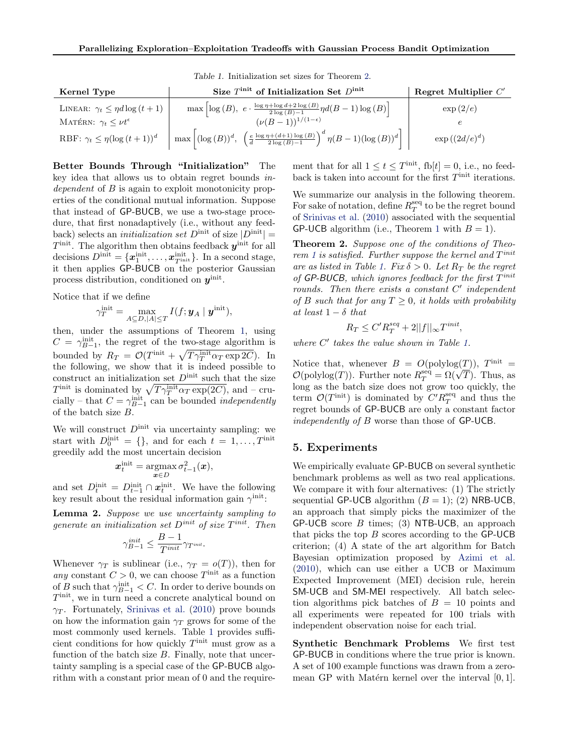<span id="page-5-0"></span>

| Kernel Type                               | Size $T^{\text{init}}$ of Initialization Set $D^{\text{init}}$                                                                                                                                                                                                                           | Regret Multiplier $C'$ |
|-------------------------------------------|------------------------------------------------------------------------------------------------------------------------------------------------------------------------------------------------------------------------------------------------------------------------------------------|------------------------|
| LINEAR: $\gamma_t \leq \eta d \log (t+1)$ | max $\left  \log \left( B \right),\ e \cdot \frac{\log \eta + \log d + 2 \log \left( B \right)}{2 \log \left( B \right) - 1} \eta d(B-1) \log \left( B \right) \right $                                                                                                                  | $\exp(2/e)$            |
| MATÉRN: $\gamma_t \leq \nu t^{\epsilon}$  | $(\nu(B-1))^{1/(1-\epsilon)}$                                                                                                                                                                                                                                                            |                        |
| RBF: $\gamma_t \leq \eta (\log (t+1))^d$  | $\label{eq:10} \begin{array}{l} \end{array} \left  \; \max\left  \left(\log\left(B\right)\right)^d, \right. \; \left( \frac{e}{d} \frac{\log \eta + (d+1) \log\left(B\right)}{2 \log\left(B\right) - 1} \right)^d \eta\big(B-1\big) \bigl(\log\left(B\right)\bigr)^d \; \right  \quad ,$ | $\exp((2d/e)^d)$       |

Table 1. Initialization set sizes for Theorem 2.

Better Bounds Through "Initialization" The key idea that allows us to obtain regret bounds independent of B is again to exploit monotonicity properties of the conditional mutual information. Suppose that instead of GP-BUCB, we use a two-stage procedure, that first nonadaptively (i.e., without any feedback) selects an *initialization set*  $D^{\text{init}}$  of size  $|D^{\text{init}}|$  =  $T<sup>init</sup>$ . The algorithm then obtains feedback  $y<sup>init</sup>$  for all decisions  $D^{\text{init}} = \{x_1^{\text{init}}, \dots, x_{T^{\text{init}}}^{\text{init}}\}$ . In a second stage, it then applies GP-BUCB on the posterior Gaussian process distribution, conditioned on  $y^{\text{init}}$ .

Notice that if we define

$$
\gamma_T^{\text{init}} = \max_{A \subseteq D, |A| \le T} I(f; \boldsymbol{y}_A \mid \boldsymbol{y}^{\text{init}}),
$$

then, under the assumptions of Theorem [1,](#page-4-0) using  $C = \gamma_{B-1}^{\text{init}}$ , the regret of the two-stage algorithm is bounded by  $R_T = \mathcal{O}(T^{\text{init}} + \sqrt{T\gamma_T^{\text{init}}\alpha_T \exp 2C})$ . In the following, we show that it is indeed possible to construct an initialization set  $D^{\text{init}}$  such that the size  $T^{\text{init}}$  is dominated by  $\sqrt{T\gamma_T^{\text{init}}\alpha_T\exp(2C)}$ , and – crucially – that  $C = \gamma_{B-1}^{\text{init}}$  can be bounded *independently* of the batch size B.

We will construct  $D<sup>init</sup>$  via uncertainty sampling: we start with  $D_0^{\text{init}} = \{\}$ , and for each  $t = 1, \ldots, T^{\text{init}}$ greedily add the most uncertain decision

$$
\boldsymbol{x}^{\text{init}}_t = \operatornamewithlimits{argmax}_{\boldsymbol{x} \in D} \sigma_{t-1}^2(\boldsymbol{x}),
$$

and set  $D_t^{\text{init}} = D_{t-1}^{\text{init}} \cap \boldsymbol{x}_t^{\text{init}}$ . We have the following key result about the residual information gain  $\gamma^{\text{init}}$ :

Lemma 2. Suppose we use uncertainty sampling to generate an initialization set  $D<sup>init</sup>$  of size  $T<sup>init</sup>$ . Then

$$
\gamma_{B-1}^{init} \leq \frac{B-1}{T^{init}} \gamma_{T^{init}}.
$$

Whenever  $\gamma_T$  is sublinear (i.e.,  $\gamma_T = o(T)$ ), then for any constant  $C > 0$ , we can choose  $T^{\text{init}}$  as a function of B such that  $\gamma_{B-1}^{\text{init}} < C$ . In order to derive bounds on  $T<sup>init</sup>$ , we in turn need a concrete analytical bound on  $\gamma_T$ . Fortunately, [Srinivas et al.](#page-7-0) [\(2010\)](#page-7-0) prove bounds on how the information gain  $\gamma_T$  grows for some of the most commonly used kernels. Table 1 provides sufficient conditions for how quickly  $T^{\text{init}}$  must grow as a function of the batch size  $B$ . Finally, note that uncertainty sampling is a special case of the GP-BUCB algorithm with a constant prior mean of 0 and the requirement that for all  $1 \le t \le T^{\text{init}}$ , fb $[t] = 0$ , i.e., no feedback is taken into account for the first  $T^{\text{init}}$  iterations.

We summarize our analysis in the following theorem. For sake of notation, define  $R_T^{\text{seq}}$  to be the regret bound of [Srinivas et al.](#page-7-0) [\(2010\)](#page-7-0) associated with the sequential GP-UCB algorithm (i.e., Theorem [1](#page-4-0) with  $B = 1$ ).

Theorem 2. Suppose one of the conditions of Theo-rem [1](#page-4-0) is satisfied. Further suppose the kernel and  $T<sup>init</sup>$ are as listed in Table 1. Fix  $\delta > 0$ . Let  $R_T$  be the regret of GP-BUCB, which ignores feedback for the first  $T<sup>init</sup>$ rounds. Then there exists a constant  $C'$  independent of B such that for any  $T \geq 0$ , it holds with probability at least  $1 - \delta$  that

$$
R_T \le C'R_T^{seq} + 2||f||_{\infty}T^{init},
$$

where  $C'$  takes the value shown in Table 1.

Notice that, whenever  $B = O(polylog(T))$ ,  $T<sup>init</sup> =$ Notice that, whenever  $B = O(\text{polylog}(1)), T^{m\alpha} = O(\text{polylog}(T)).$  Further note  $R_T^{\text{seq}} = \Omega(\sqrt{T})$ . Thus, as long as the batch size does not grow too quickly, the term  $\mathcal{O}(T^{\text{init}})$  is dominated by  $C' R_T^{\text{seq}}$  and thus the regret bounds of GP-BUCB are only a constant factor independently of B worse than those of GP-UCB.

#### 5. Experiments

We empirically evaluate GP-BUCB on several synthetic benchmark problems as well as two real applications. We compare it with four alternatives: (1) The strictly sequential GP-UCB algorithm  $(B = 1)$ ; (2) NRB-UCB, an approach that simply picks the maximizer of the  $GP-UCB$  score  $B$  times; (3) NTB-UCB, an approach that picks the top  $B$  scores according to the  $GP-UCB$ criterion; (4) A state of the art algorithm for Batch Bayesian optimization proposed by [Azimi et al.](#page-7-0) [\(2010\)](#page-7-0), which can use either a UCB or Maximum Expected Improvement (MEI) decision rule, herein SM-UCB and SM-MEI respectively. All batch selection algorithms pick batches of  $B = 10$  points and all experiments were repeated for 100 trials with independent observation noise for each trial.

Synthetic Benchmark Problems We first test GP-BUCB in conditions where the true prior is known. A set of 100 example functions was drawn from a zeromean GP with Matérn kernel over the interval  $[0, 1]$ .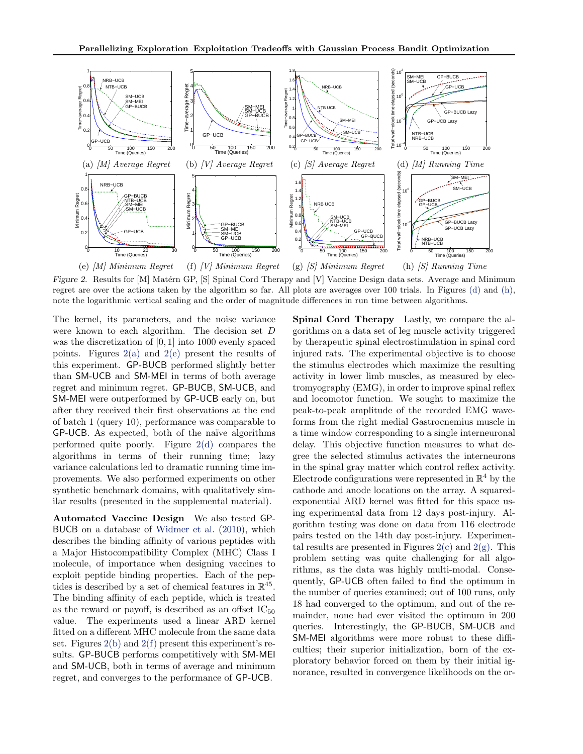<span id="page-6-0"></span>

Figure 2. Results for [M] Matérn GP, [S] Spinal Cord Therapy and [V] Vaccine Design data sets. Average and Minimum regret are over the actions taken by the algorithm so far. All plots are averages over 100 trials. In Figures (d) and (h), note the logarithmic vertical scaling and the order of magnitude differences in run time between algorithms.

The kernel, its parameters, and the noise variance were known to each algorithm. The decision set D was the discretization of [0, 1] into 1000 evenly spaced points. Figures  $2(a)$  and  $2(e)$  present the results of this experiment. GP-BUCB performed slightly better than SM-UCB and SM-MEI in terms of both average regret and minimum regret. GP-BUCB, SM-UCB, and SM-MEI were outperformed by GP-UCB early on, but after they received their first observations at the end of batch 1 (query 10), performance was comparable to GP-UCB. As expected, both of the naïve algorithms performed quite poorly. Figure 2(d) compares the algorithms in terms of their running time; lazy variance calculations led to dramatic running time improvements. We also performed experiments on other synthetic benchmark domains, with qualitatively similar results (presented in the supplemental material).

Automated Vaccine Design We also tested GP-BUCB on a database of [Widmer et al.](#page-7-0) [\(2010\)](#page-7-0), which describes the binding affinity of various peptides with a Major Histocompatibility Complex (MHC) Class I molecule, of importance when designing vaccines to exploit peptide binding properties. Each of the peptides is described by a set of chemical features in  $\mathbb{R}^{45}$ . The binding affinity of each peptide, which is treated as the reward or payoff, is described as an offset  $IC_{50}$ value. The experiments used a linear ARD kernel fitted on a different MHC molecule from the same data set. Figures  $2(b)$  and  $2(f)$  present this experiment's results. GP-BUCB performs competitively with SM-MEI and SM-UCB, both in terms of average and minimum regret, and converges to the performance of GP-UCB.

Spinal Cord Therapy Lastly, we compare the algorithms on a data set of leg muscle activity triggered by therapeutic spinal electrostimulation in spinal cord injured rats. The experimental objective is to choose the stimulus electrodes which maximize the resulting activity in lower limb muscles, as measured by electromyography (EMG), in order to improve spinal reflex and locomotor function. We sought to maximize the peak-to-peak amplitude of the recorded EMG waveforms from the right medial Gastrocnemius muscle in a time window corresponding to a single interneuronal delay. This objective function measures to what degree the selected stimulus activates the interneurons in the spinal gray matter which control reflex activity. Electrode configurations were represented in  $\mathbb{R}^4$  by the cathode and anode locations on the array. A squaredexponential ARD kernel was fitted for this space using experimental data from 12 days post-injury. Algorithm testing was done on data from 116 electrode pairs tested on the 14th day post-injury. Experimental results are presented in Figures  $2(c)$  and  $2(g)$ . This problem setting was quite challenging for all algorithms, as the data was highly multi-modal. Consequently, GP-UCB often failed to find the optimum in the number of queries examined; out of 100 runs, only 18 had converged to the optimum, and out of the remainder, none had ever visited the optimum in 200 queries. Interestingly, the GP-BUCB, SM-UCB and SM-MEI algorithms were more robust to these difficulties; their superior initialization, born of the exploratory behavior forced on them by their initial ignorance, resulted in convergence likelihoods on the or